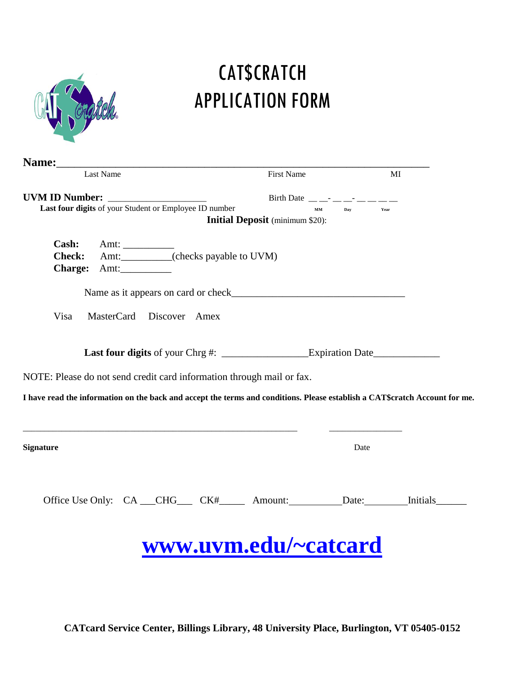

## CAT\$CRATCH APPLICATION FORM

| Name: 2008. 2008. 2010. 2010. 2010. 2010. 2010. 2010. 2011. 2012. 2012. 2012. 2013. 2014. 2014. 2014. 2014. 20              |                                                                                     |             |  |
|-----------------------------------------------------------------------------------------------------------------------------|-------------------------------------------------------------------------------------|-------------|--|
| Last Name                                                                                                                   | First Name                                                                          | MI          |  |
| Last four digits of your Student or Employee ID number                                                                      | Birth Date __ __- __ __ __ __ __ __<br>MM<br><b>Initial Deposit</b> (minimum \$20): | Day<br>Year |  |
| Cash:<br>Amt:__________(checks payable to UVM)<br><b>Check:</b><br>Charge: Amt:                                             |                                                                                     |             |  |
|                                                                                                                             |                                                                                     |             |  |
| MasterCard Discover Amex<br>Visa                                                                                            |                                                                                     |             |  |
|                                                                                                                             |                                                                                     |             |  |
| NOTE: Please do not send credit card information through mail or fax.                                                       |                                                                                     |             |  |
| I have read the information on the back and accept the terms and conditions. Please establish a CAT\$cratch Account for me. |                                                                                     |             |  |
| <b>Signature</b>                                                                                                            |                                                                                     | Date        |  |
| Office Use Only: CA __CHG___ CK#_____ Amount: Date: Initials                                                                |                                                                                     |             |  |
| www.uvm.edu/~catcard                                                                                                        |                                                                                     |             |  |

**CATcard Service Center, Billings Library, 48 University Place, Burlington, VT 05405-0152**